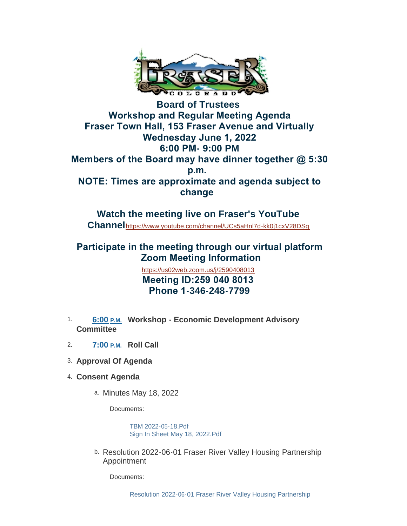

## **Board of Trustees Workshop and Regular Meeting Agenda Fraser Town Hall, 153 Fraser Avenue and Virtually Wednesday June 1, 2022 6:00 PM- 9:00 PM Members of the Board may have dinner together @ 5:30 p.m. NOTE: Times are approximate and agenda subject to change**

**Watch the meeting live on Fraser's YouTube Channel**<https://www.youtube.com/channel/UCs5aHnl7d-kk0j1cxV28DSg>

# **Participate in the meeting through our virtual platform Zoom Meeting Information**

<https://us02web.zoom.us/j/2590408013>  **Meeting ID:259 040 8013 Phone 1-346-248-7799**

- 1. 6:00 P.M. Workshop Economic Development Advisory **Committee**
- **Roll Call** 2. **7:00 P.M.**
- **Approval Of Agenda** 3.
- **Consent Agenda** 4.
	- a. Minutes May 18, 2022

Documents:

[TBM 2022-05-18.Pdf](https://www.frasercolorado.com/AgendaCenter/ViewFile/Item/4190?fileID=3703) [Sign In Sheet May 18, 2022.Pdf](https://www.frasercolorado.com/AgendaCenter/ViewFile/Item/4190?fileID=3704)

b. Resolution 2022-06-01 Fraser River Valley Housing Partnership Appointment

Documents: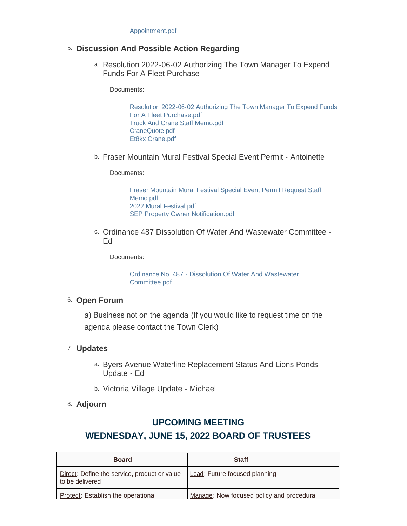#### **Discussion And Possible Action Regarding** 5.

a. Resolution 2022-06-02 Authorizing The Town Manager To Expend Funds For A Fleet Purchase

Documents:

[Resolution 2022-06-02 Authorizing The Town Manager To Expend Funds](https://www.frasercolorado.com/AgendaCenter/ViewFile/Item/4189?fileID=3702)  For A Fleet Purchase.pdf [Truck And Crane Staff Memo.pdf](https://www.frasercolorado.com/AgendaCenter/ViewFile/Item/4189?fileID=3699) [CraneQuote.pdf](https://www.frasercolorado.com/AgendaCenter/ViewFile/Item/4189?fileID=3700) [Et8kx Crane.pdf](https://www.frasercolorado.com/AgendaCenter/ViewFile/Item/4189?fileID=3701)

b. Fraser Mountain Mural Festival Special Event Permit - Antoinette

Documents:

[Fraser Mountain Mural Festival Special Event Permit Request Staff](https://www.frasercolorado.com/AgendaCenter/ViewFile/Item/4184?fileID=3686)  Memo.pdf [2022 Mural Festival.pdf](https://www.frasercolorado.com/AgendaCenter/ViewFile/Item/4184?fileID=3695) [SEP Property Owner Notification.pdf](https://www.frasercolorado.com/AgendaCenter/ViewFile/Item/4184?fileID=3688)

c. Ordinance 487 Dissolution Of Water And Wastewater Committee -Ed

Documents:

[Ordinance No. 487 - Dissolution Of Water And Wastewater](https://www.frasercolorado.com/AgendaCenter/ViewFile/Item/4182?fileID=3685)  Committee.pdf

#### 6. Open Forum

a) Business not on the agenda (If you would like to request time on the agenda please contact the Town Clerk)

### **Updates** 7.

- a. Byers Avenue Waterline Replacement Status And Lions Ponds Update - Ed
- b. Victoria Village Update Michael
- **Adjourn** 8.

### **UPCOMING MEETING**

## **WEDNESDAY, JUNE 15, 2022 BOARD OF TRUSTEES**

| <b>Board</b>                                                    | Staff                                     |
|-----------------------------------------------------------------|-------------------------------------------|
| Direct: Define the service, product or value<br>to be delivered | Lead: Future focused planning             |
| Protect: Establish the operational                              | Manage: Now focused policy and procedural |